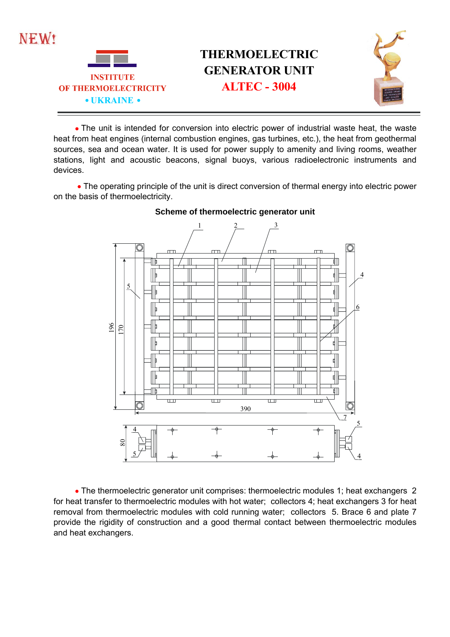

## **THERMOELECTRIC GENERATOR UNIT**



• The unit is intended for conversion into electric power of industrial waste heat, the waste heat from heat engines (internal combustion engines, gas turbines, etc.), the heat from geothermal sources, sea and ocean water. It is used for power supply to amenity and living rooms, weather stations, light and acoustic beacons, signal buoys, various radioelectronic instruments and devices.

• The operating principle of the unit is direct conversion of thermal energy into electric power on the basis of thermoelectricity.



## **Scheme of thermoelectric generator unit**

• The thermoelectric generator unit comprises: thermoelectric modules 1; heat exchangers 2 for heat transfer to thermoelectric modules with hot water; collectors 4; heat exchangers 3 for heat removal from thermoelectric modules with cold running water; collectors 5. Brace 6 and plate 7 provide the rigidity of construction and a good thermal contact between thermoelectric modules and heat exchangers.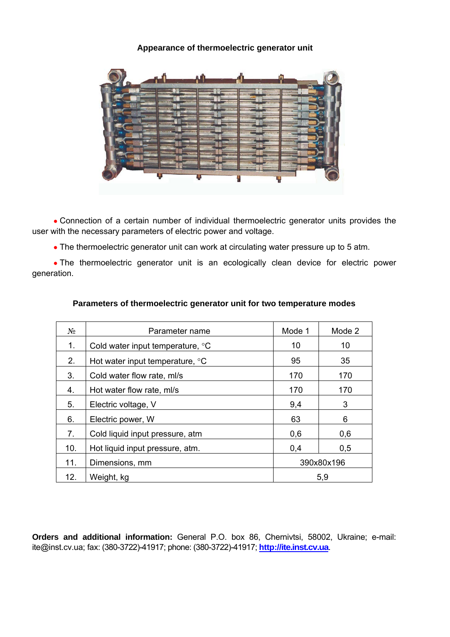## **Appearance of thermoelectric generator unit**



• Connection of a certain number of individual thermoelectric generator units provides the user with the necessary parameters of electric power and voltage.

• The thermoelectric generator unit can work at circulating water pressure up to 5 atm.

• The thermoelectric generator unit is an ecologically clean device for electric power generation.

| $N_2$ | Parameter name                           | Mode 1     | Mode 2 |
|-------|------------------------------------------|------------|--------|
| 1.    | Cold water input temperature, °C         | 10         | 10     |
| 2.    | Hot water input temperature, $\degree$ C | 95         | 35     |
| 3.    | Cold water flow rate, ml/s               | 170        | 170    |
| 4.    | Hot water flow rate, ml/s                | 170        | 170    |
| 5.    | Electric voltage, V                      | 9,4        | 3      |
| 6.    | Electric power, W                        | 63         | 6      |
| 7.    | Cold liquid input pressure, atm          | 0,6        | 0,6    |
| 10.   | Hot liquid input pressure, atm.          | 0,4        | 0,5    |
| 11.   | Dimensions, mm                           | 390x80x196 |        |
| 12.   | Weight, kg                               | 5,9        |        |

## **Parameters of thermoelectric generator unit for two temperature modes**

**Orders and additional information:** General P.O. box 86, Chernivtsi, 58002, Ukraine; e-mail: ite@inst.cv.ua; fax: (380-3722)-41917; phone: (380-3722)-41917; **http://ite.inst.cv.ua**.